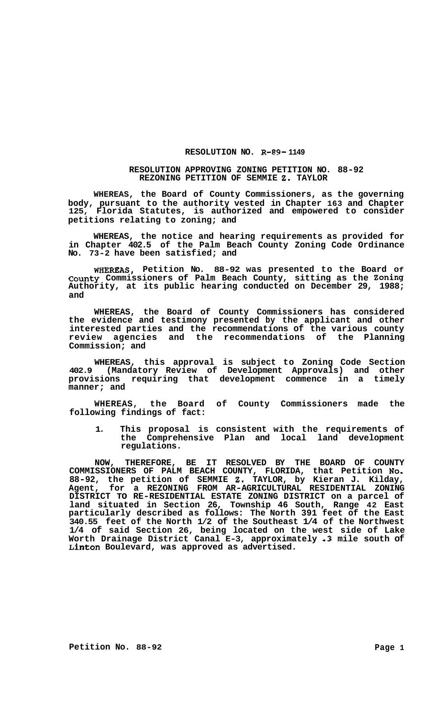## **RESOLUTION NO. R-89- 1149**

## **RESOLUTION APPROVING ZONING PETITION NO. 88-92 REZONING PETITION OF SEMMIE 2. TAYLOR**

**WHEREAS, the Board of County Commissioners, as the governing body, pursuant to the authority vested in Chapter 163 and Chapter 125, Florida Statutes, is authorized and empowered to consider petitions relating to zoning; and** 

**WHEREAS, the notice and hearing requirements as provided for in Chapter 402.5 of the Palm Beach County Zoning Code Ordinance No. 73-2 have been satisfied; and** 

**WHEREAS, Petition No. 88-92 was presented to the Board Of county Commissioners of Palm Beach County, sitting as the Zoning Authority, at its public hearing conducted on December 29, 1988; and** 

**WHEREAS, the Board of County Commissioners has considered the evidence and testimony presented by the applicant and other interested parties and the recommendations of the various county review agencies and the recommendations of the Planning Commission; and** 

**WHEREAS, this approval is subject to Zoning Code Section 402.9 (Mandatory Review of Development Approvals) and other provisions requiring that development commence in a timely manner; and** 

**WHEREAS, the Board of County Commissioners made the following findings of fact:** 

**1. This proposal is consistent with the requirements of the Comprehensive Plan and local land development regulations.** 

**NOW, THEREFORE, BE IT RESOLVED BY THE BOARD OF COUNTY COMMISSIONERS OF PALM BEACH COUNTY, FLORIDA, that Petition No. 88-92, the petition of SEMMIE 2. TAYLOR, by Kieran J. Kilday, Agent, for a REZONING FROM AR-AGRICULTURAL RESIDENTIAL ZONING DISTRICT TO RE-RESIDENTIAL ESTATE ZONING DISTRICT on a parcel of land situated in Section 26, Township 46 South, Range 42 East particularly described as follows: The North 391 feet of the East 340.55 feet of the North 1/2 of the Southeast 1/4 of the Northwest 1/4 of said Section 26, being located on the west side of Lake Worth Drainage District Canal E-3, approximately .3 mile south of Linton Boulevard, was approved as advertised.**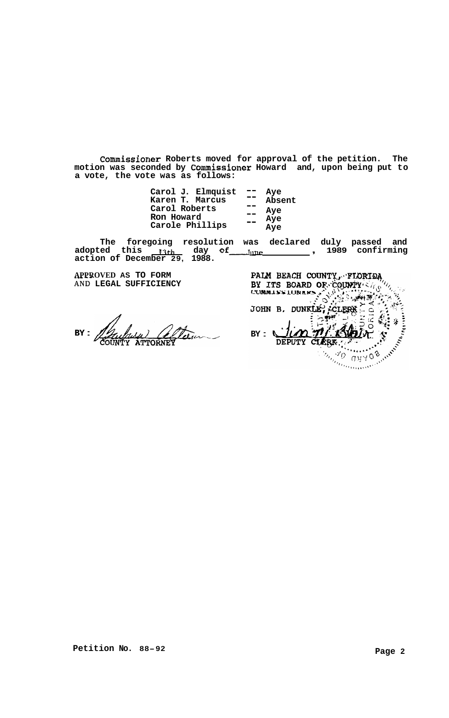**Commissioner Roberts moved for approval of the petition. The motion was seconded by Commissioner Howard and, upon being put to a vote, the vote was as follows:** 

| Carol J. Elmquist<br>Karen T. Marcus<br>Carol Roberts<br>Ron Howard | - -<br>$=$ | Aye<br>Absent<br>Aye<br>Aye |
|---------------------------------------------------------------------|------------|-----------------------------|
| Carole Phillips                                                     | - -        | Aye                         |

The foregoing resolution was declared duly passed and<br>adopted this <u>13th day</u> of <u>June 1989</u> confirming adopted this  $\frac{13 \text{th}}{13 \text{th}}$  day<br>action of December 29, 1988.

**APPROVED AS TO FORM**  \*.\* **<sup>a</sup>** AND **LEGAL SUFFICIENCY** 

**BY** :

PALM BEACH COUNTY, FLORIDA PALM BEACH COUNTY, TLONDARY<br>BY ITS BOARD OF COUNTY 2/18 *'4* '  $\lim \pi/3$ CLEBR ... **DEPUTY**